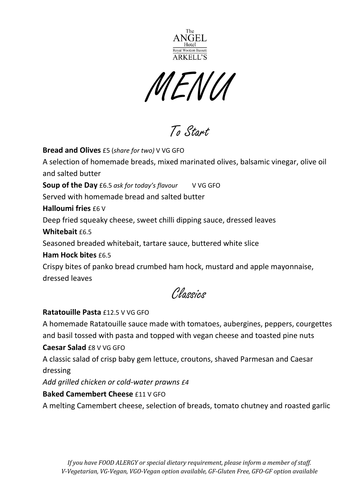

MENU

To Start

**Bread and Olives** £5 (*share for two)* V VG GFO A selection of homemade breads, mixed marinated olives, balsamic vinegar, olive oil and salted butter **Soup of the Day** £6.5 *ask for today's flavour* V VG GFO Served with homemade bread and salted butter **Halloumi fries** £6 V Deep fried squeaky cheese, sweet chilli dipping sauce, dressed leaves **Whitebait** £6.5 Seasoned breaded whitebait, tartare sauce, buttered white slice **Ham Hock bites** £6.5 Crispy bites of panko bread crumbed ham hock, mustard and apple mayonnaise, dressed leaves Classics

### **Ratatouille Pasta** £12.5 V VG GFO

A homemade Ratatouille sauce made with tomatoes, aubergines, peppers, courgettes and basil tossed with pasta and topped with vegan cheese and toasted pine nuts

### **Caesar Salad** £8 V VG GFO

A classic salad of crisp baby gem lettuce, croutons, shaved Parmesan and Caesar dressing

*Add grilled chicken or cold-water prawns £4*

## **Baked Camembert Cheese** £11 V GFO

A melting Camembert cheese, selection of breads, tomato chutney and roasted garlic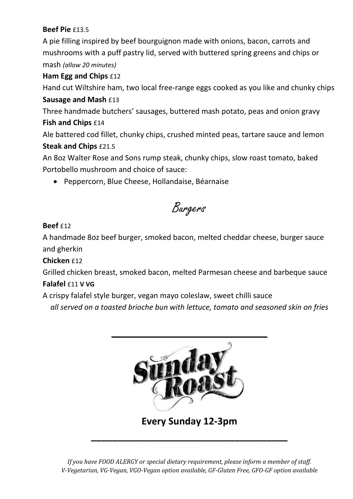# **Beef Pie** £13.5

A pie filling inspired by beef bourguignon made with onions, bacon, carrots and mushrooms with a puff pastry lid, served with buttered spring greens and chips or mash *(allow 20 minutes)*

## **Ham Egg and Chips** £12

Hand cut Wiltshire ham, two local free-range eggs cooked as you like and chunky chips **Sausage and Mash** £13

Three handmade butchers' sausages, buttered mash potato, peas and onion gravy **Fish and Chips** £14

Ale battered cod fillet, chunky chips, crushed minted peas, tartare sauce and lemon **Steak and Chips** £21.5

An 8oz Walter Rose and Sons rump steak, chunky chips, slow roast tomato, baked Portobello mushroom and choice of sauce:

• Peppercorn, Blue Cheese, Hollandaise, Béarnaise

Burgers

# **Beef**  $f12$

A handmade 8oz beef burger, smoked bacon, melted cheddar cheese, burger sauce and gherkin

## **Chicken** £12

Grilled chicken breast, smoked bacon, melted Parmesan cheese and barbeque sauce

## **Falafel** £11 **V VG**

A crispy falafel style burger, vegan mayo coleslaw, sweet chilli sauce

*all served on a toasted brioche bun with lettuce, tomato and seasoned skin on fries*



*If you have FOOD ALERGY or special dietary requirement, please inform a member of staff. V-Vegetarian, VG-Vegan, VGO-Vegan option available, GF-Gluten Free, GFO-GF option available*

**\_\_\_\_\_\_\_\_\_\_\_\_\_\_\_\_\_\_\_\_\_\_\_\_\_\_\_\_\_\_\_\_\_\_\_\_\_**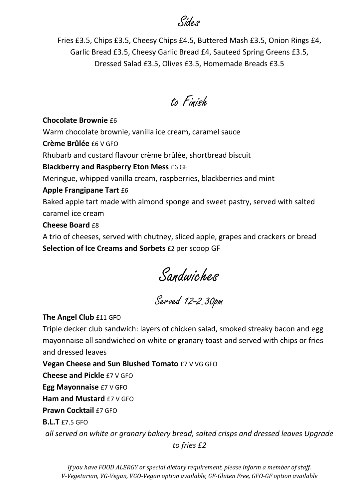Sides

Fries £3.5, Chips £3.5, Cheesy Chips £4.5, Buttered Mash £3.5, Onion Rings £4, Garlic Bread £3.5, Cheesy Garlic Bread £4, Sauteed Spring Greens £3.5, Dressed Salad £3.5, Olives £3.5, Homemade Breads £3.5

to Finish

#### **Chocolate Brownie** £6

Warm chocolate brownie, vanilla ice cream, caramel sauce

**Crème Brûlée** £6 V GFO

Rhubarb and custard flavour crème brûlée, shortbread biscuit

### **Blackberry and Raspberry Eton Mess** £6 GF

Meringue, whipped vanilla cream, raspberries, blackberries and mint

### **Apple Frangipane Tart** £6

Baked apple tart made with almond sponge and sweet pastry, served with salted caramel ice cream

### **Cheese Board** £8

A trio of cheeses, served with chutney, sliced apple, grapes and crackers or bread **Selection of Ice Creams and Sorbets** £2 per scoop GF

Sandwiches

Served 12-2.30pm

### **The Angel Club** £11 GFO

Triple decker club sandwich: layers of chicken salad, smoked streaky bacon and egg mayonnaise all sandwiched on white or granary toast and served with chips or fries and dressed leaves

**Vegan Cheese and Sun Blushed Tomato** £7 V VG GFO

**Cheese and Pickle** £7 V GFO

**Egg Mayonnaise** £7 V GFO

**Ham and Mustard £7 V GFO** 

**Prawn Cocktail** £7 GFO

**B.L.T** £7.5 GFO

*all served on white or granary bakery bread, salted crisps and dressed leaves Upgrade to fries £2*

*If you have FOOD ALERGY or special dietary requirement, please inform a member of staff. V-Vegetarian, VG-Vegan, VGO-Vegan option available, GF-Gluten Free, GFO-GF option available*